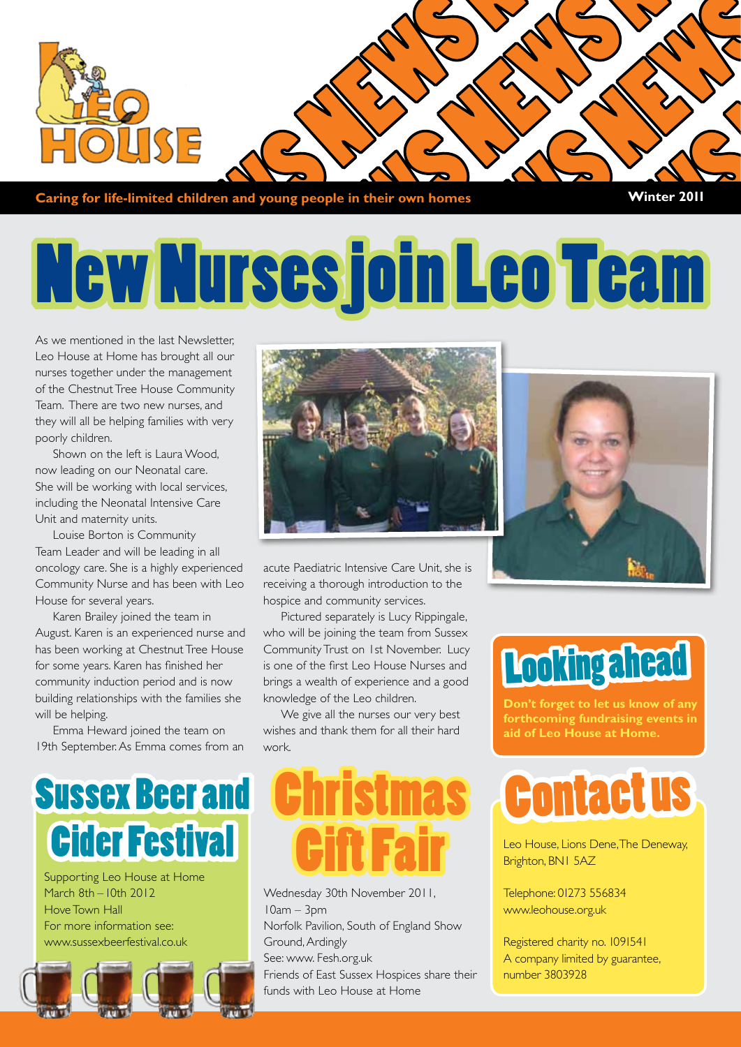

**Caring for life-limited children and young people in their own homes Winter 2011** 

# New Nurses join Leo Team

As we mentioned in the last Newsletter Leo House at Home has brought all our nurses together under the management of the Chestnut Tree House Community Team. There are two new nurses, and they will all be helping families with very poorly children.

Shown on the left is Laura Wood, now leading on our Neonatal care. She will be working with local services, including the Neonatal Intensive Care Unit and maternity units.

Louise Borton is Community Team Leader and will be leading in all oncology care. She is a highly experienced Community Nurse and has been with Leo House for several years.

Karen Brailey joined the team in August. Karen is an experienced nurse and has been working at Chestnut Tree House for some years. Karen has finished her community induction period and is now building relationships with the families she will be helping.

Emma Heward joined the team on 19th September. As Emma comes from an



acute Paediatric Intensive Care Unit, she is receiving a thorough introduction to the hospice and community services.

Pictured separately is Lucy Rippingale, who will be joining the team from Sussex Community Trust on 1st November. Lucy is one of the first Leo House Nurses and brings a wealth of experience and a good knowledge of the Leo children.

We give all the nurses our very best wishes and thank them for all their hard work.



Supporting Leo House at Home March 8th – 10th 2012 Hove Town Hall For more information see: www.sussexbeerfestival.co.uk





Wednesday 30th November 2011, 10am – 3pm Norfolk Pavilion, South of England Show Ground, Ardingly See: www. Fesh.org.uk Friends of East Sussex Hospices share their funds with Leo House at Home



### Looking ahead

**Don't forget to let us know of any forthcoming fundraising events in aid of Leo House at Home.**



Leo House, Lions Dene, The Deneway, Brighton, BN1 5AZ

Telephone: 01273 556834 www.leohouse.org.uk

Registered charity no. 1091541 A company limited by guarantee, number 3803928